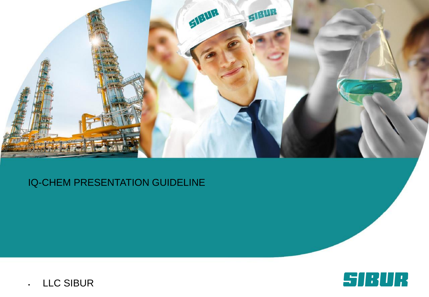

# IQ-CHEM PRESENTATION GUIDELINE

SIBUR

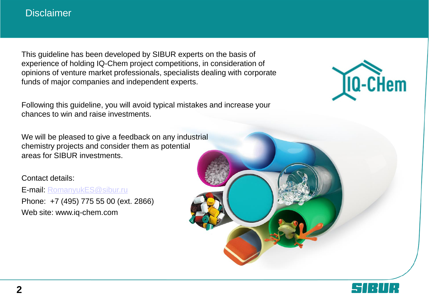#### **Disclaimer**

This guideline has been developed by SIBUR experts on the basis of experience of holding IQ-Chem project competitions, in consideration of opinions of venture market professionals, specialists dealing with corporate funds of major companies and independent experts.

Following this guideline, you will avoid typical mistakes and increase your chances to win and raise investments.

We will be pleased to give a feedback on any industrial chemistry projects and consider them as potential areas for SIBUR investments.

Contact details:

E-mail: [RomanyukES@sibur.ru](mailto:RomanyukES@sibur.ru) Phone: +7 (495) 775 55 00 (ext. 2866) Web site: www.iq-chem.com



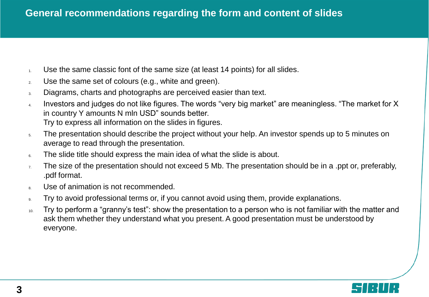- 1. Use the same classic font of the same size (at least 14 points) for all slides.
- 2. Use the same set of colours (e.g., white and green).
- 3. Diagrams, charts and photographs are perceived easier than text.
- 4. Investors and judges do not like figures. The words "very big market" are meaningless. "The market for X in country Y amounts N mln USD" sounds better. Try to express all information on the slides in figures.
- 5. The presentation should describe the project without your help. An investor spends up to 5 minutes on average to read through the presentation.
- 6. The slide title should express the main idea of what the slide is about.
- $7.$  The size of the presentation should not exceed 5 Mb. The presentation should be in a .ppt or, preferably, .pdf format.
- 8. Use of animation is not recommended.
- If Try to avoid professional terms or, if you cannot avoid using them, provide explanations.
- 10. Try to perform a "granny's test": show the presentation to a person who is not familiar with the matter and ask them whether they understand what you present. A good presentation must be understood by everyone.

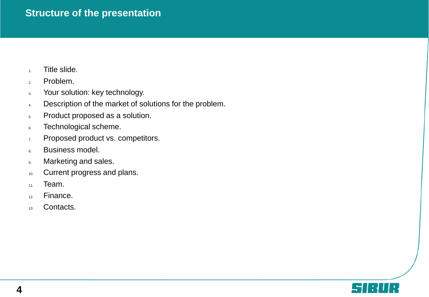### **Structure of the presentation**

- 1. Title slide.
- 2. Problem.
- 3. Your solution: key technology.
- 4. Description of the market of solutions for the problem.
- 5. Product proposed as a solution.
- 6. Technological scheme.
- 7. Proposed product vs. competitors.
- 8. Business model.
- 9. Marketing and sales.
- 10. Current progress and plans.
- 11. Team.
- 12. Finance.
- 13. Contacts.

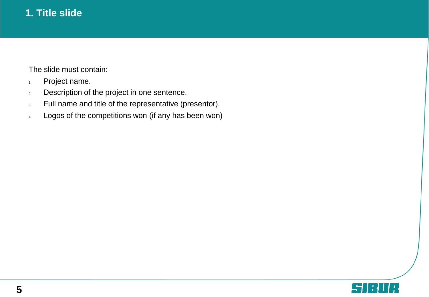# **1. Title slide**

The slide must contain:

- 1. Project name.
- 2. Description of the project in one sentence.
- 3. Full name and title of the representative (presentor).
- 4. Logos of the competitions won (if any has been won)

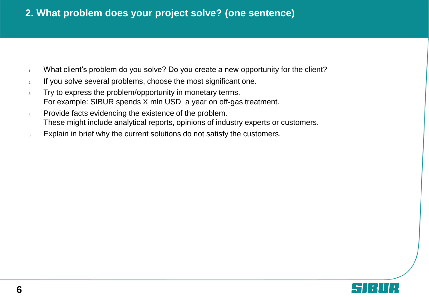## **2. What problem does your project solve? (one sentence)**

- 1. What client's problem do you solve? Do you create a new opportunity for the client?
- 2. If you solve several problems, choose the most significant one.
- 3. Try to express the problem/opportunity in monetary terms. For example: SIBUR spends X mln USD a year on off-gas treatment.
- 4. Provide facts evidencing the existence of the problem. These might include analytical reports, opinions of industry experts or customers.
- 5. Explain in brief why the current solutions do not satisfy the customers.

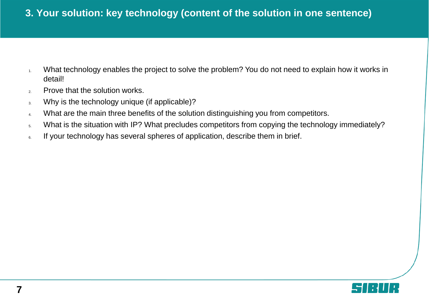## **3. Your solution: key technology (content of the solution in one sentence)**

- 1. What technology enables the project to solve the problem? You do not need to explain how it works in detail!
- 2. Prove that the solution works.
- 3. Why is the technology unique (if applicable)?
- 4. What are the main three benefits of the solution distinguishing you from competitors.
- 5. What is the situation with IP? What precludes competitors from copying the technology immediately?
- 6. If your technology has several spheres of application, describe them in brief.

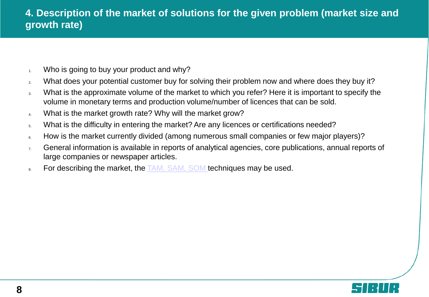- $1.$  Who is going to buy your product and why?
- 2. What does your potential customer buy for solving their problem now and where does they buy it?
- 3. What is the approximate volume of the market to which you refer? Here it is important to specify the volume in monetary terms and production volume/number of licences that can be sold.
- 4. What is the market growth rate? Why will the market grow?
- 5. What is the difficulty in entering the market? Are any licences or certifications needed?
- 6. How is the market currently divided (among numerous small companies or few major players)?
- 7. General information is available in reports of analytical agencies, core publications, annual reports of large companies or newspaper articles.
- 8. For describing the market, the [TAM, SAM, SOM t](https://en.wikipedia.org/wiki/Total_addressable_market)echniques may be used.

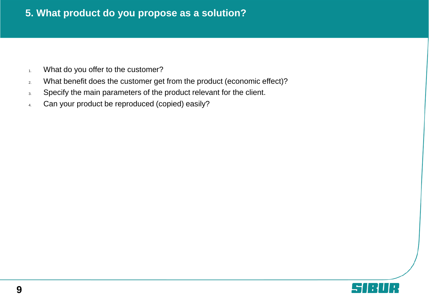### **5. What product do you propose as a solution?**

- 1. What do you offer to the customer?
- 2. What benefit does the customer get from the product (economic effect)?
- 3. Specify the main parameters of the product relevant for the client.
- 4. Can your product be reproduced (copied) easily?

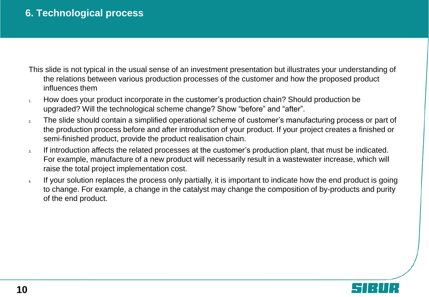## **6. Technological process**

- This slide is not typical in the usual sense of an investment presentation but illustrates your understanding of the relations between various production processes of the customer and how the proposed product influences them
- 1. How does your product incorporate in the customer's production chain? Should production be upgraded? Will the technological scheme change? Show "before" and "after".
- 2. The slide should contain a simplified operational scheme of customer's manufacturing process or part of the production process before and after introduction of your product. If your project creates a finished or semi-finished product, provide the product realisation chain.
- 3. If introduction affects the related processes at the customer's production plant, that must be indicated. For example, manufacture of a new product will necessarily result in a wastewater increase, which will raise the total project implementation cost.
- 4. If your solution replaces the process only partially, it is important to indicate how the end product is going to change. For example, a change in the catalyst may change the composition of by-products and purity of the end product.

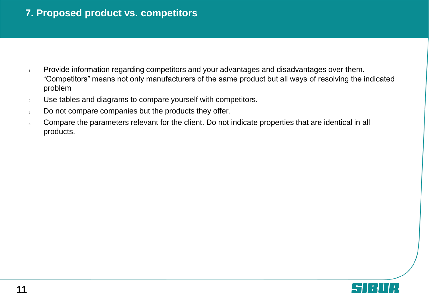## **7. Proposed product vs. competitors**

- 1. Provide information regarding competitors and your advantages and disadvantages over them. "Competitors" means not only manufacturers of the same product but all ways of resolving the indicated problem
- 2. Use tables and diagrams to compare yourself with competitors.
- 3. Do not compare companies but the products they offer.
- 4. Compare the parameters relevant for the client. Do not indicate properties that are identical in all products.

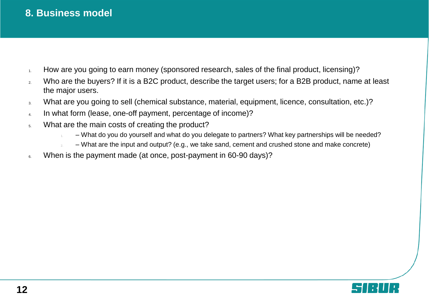#### **8. Business model**

- 1. How are you going to earn money (sponsored research, sales of the final product, licensing)?
- 2. Who are the buyers? If it is a B2C product, describe the target users; for a B2B product, name at least the major users.
- 3. What are you going to sell (chemical substance, material, equipment, licence, consultation, etc.)?
- 4. In what form (lease, one-off payment, percentage of income)?
- 5. What are the main costs of creating the product?
	- 1. What do you do yourself and what do you delegate to partners? What key partnerships will be needed?
	- 2. What are the input and output? (e.g., we take sand, cement and crushed stone and make concrete)
- 6. When is the payment made (at once, post-payment in 60-90 days)?

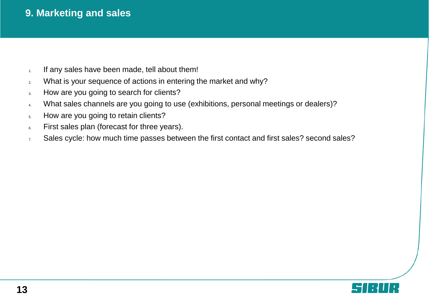## **9. Marketing and sales**

- $1.$  If any sales have been made, tell about them!
- 2. What is your sequence of actions in entering the market and why?
- 3. How are you going to search for clients?
- 4. What sales channels are you going to use (exhibitions, personal meetings or dealers)?
- 5. How are you going to retain clients?
- 6. First sales plan (forecast for three years).
- $7.$  Sales cycle: how much time passes between the first contact and first sales? second sales?

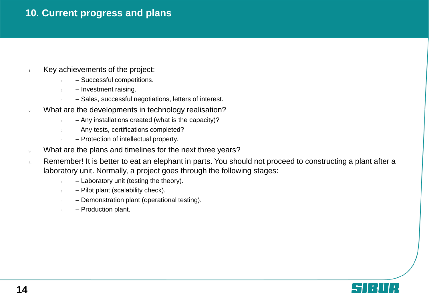#### **10. Current progress and plans**

- $1.$  Key achievements of the project:
	- Successful competitions.
	- $-$  Investment raising.
	- Sales, successful negotiations, letters of interest.
- 2. What are the developments in technology realisation?
	- Any installations created (what is the capacity)?
	- 2. Any tests, certifications completed?
	- Protection of intellectual property.
- 3. What are the plans and timelines for the next three years?
- 4. Remember! It is better to eat an elephant in parts. You should not proceed to constructing a plant after a laboratory unit. Normally, a project goes through the following stages:
	- Laboratory unit (testing the theory).
	- $2. -$  Pilot plant (scalability check).
	- 3. Demonstration plant (operational testing).
	- Production plant.

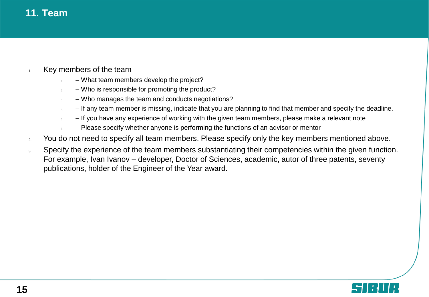#### **11. Team**

- 1. Key members of the team
	- What team members develop the project?
	- Who is responsible for promoting the product?
	- 3. Who manages the team and conducts negotiations?
		- $-$  If any team member is missing, indicate that you are planning to find that member and specify the deadline.
	- 5. If you have any experience of working with the given team members, please make a relevant note
		- 6. Please specify whether anyone is performing the functions of an advisor or mentor
- 2. You do not need to specify all team members. Please specify only the key members mentioned above.
- 3. Specify the experience of the team members substantiating their competencies within the given function. For example, Ivan Ivanov – developer, Doctor of Sciences, academic, autor of three patents, seventy publications, holder of the Engineer of the Year award.

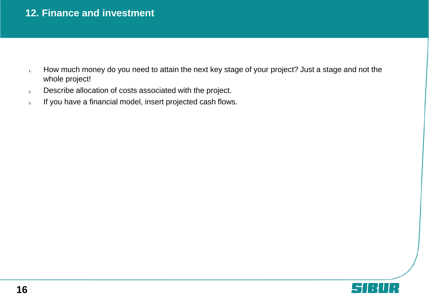### **12. Finance and investment**

- 1. How much money do you need to attain the next key stage of your project? Just a stage and not the whole project!
- 2. Describe allocation of costs associated with the project.
- 3. If you have a financial model, insert projected cash flows.